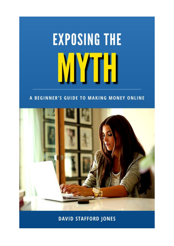# **EXPOSING THE**

#### A BEGINNER'S GUIDE TO MAKING MONEY ONLINE



#### **DAVID STAFFORD JONES**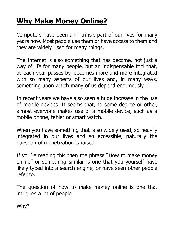## **Why Make Money Online?**

Computers have been an intrinsic part of our lives for many years now. Most people use them or have access to them and they are widely used for many things.

The Internet is also something that has become, not just a way of life for many people, but an indispensable tool that, as each year passes by, becomes more and more integrated with so many aspects of our lives and, in many ways, something upon which many of us depend enormously.

In recent years we have also seen a huge increase in the use of mobile devices. It seems that, to some degree or other, almost everyone makes use of a mobile device, such as a mobile phone, tablet or smart watch.

When you have something that is so widely used, so heavily integrated in our lives and so accessible, naturally the question of monetization is raised.

If you're reading this then the phrase "How to make money online" or something similar is one that you yourself have likely typed into a search engine, or have seen other people refer to.

The question of how to make money online is one that intrigues a lot of people.

Why?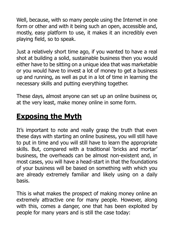Well, because, with so many people using the Internet in one form or other and with it being such an open, accessible and, mostly, easy platform to use, it makes it an incredibly even playing field, so to speak.

Just a relatively short time ago, if you wanted to have a real shot at building a solid, sustainable business then you would either have to be sitting on a unique idea that was marketable or you would have to invest a lot of money to get a business up and running, as well as put in a lot of time in learning the necessary skills and putting everything together.

These days, almost anyone can set up an online business or, at the very least, make money online in some form.

## **Exposing the Myth**

It's important to note and really grasp the truth that even these days with starting an online business, you will still have to put in time and you will still have to learn the appropriate skills. But, compared with a traditional 'bricks and mortar' business, the overheads can be almost non-existent and, in most cases, you will have a head-start in that the foundations of your business will be based on something with which you are already extremely familiar and likely using on a daily basis.

This is what makes the prospect of making money online an extremely attractive one for many people. However, along with this, comes a danger, one that has been exploited by people for many years and is still the case today: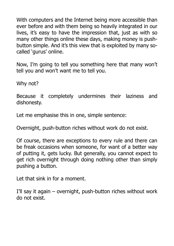With computers and the Internet being more accessible than ever before and with them being so heavily integrated in our lives, it's easy to have the impression that, just as with so many other things online these days, making money is pushbutton simple. And it's this view that is exploited by many socalled 'gurus' online.

Now, I'm going to tell you something here that many won't tell you and won't want me to tell you.

Why not?

Because it completely undermines their laziness and dishonesty.

Let me emphasise this in one, simple sentence:

Overnight, push-button riches without work do not exist.

Of course, there are exceptions to every rule and there can be freak occasions when someone, for want of a better way of putting it, gets lucky. But generally, you cannot expect to get rich overnight through doing nothing other than simply pushing a button.

Let that sink in for a moment.

I'll say it again – overnight, push-button riches without work do not exist.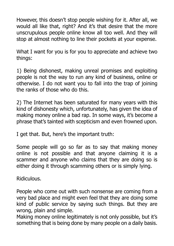However, this doesn't stop people wishing for it. After all, we would all like that, right? And it's that desire that the more unscrupulous people online know all too well. And they will stop at almost nothing to line their pockets at your expense.

What I want for you is for you to appreciate and achieve two things:

1) Being dishonest, making unreal promises and exploiting people is not the way to run any kind of business, online or otherwise. I do not want you to fall into the trap of joining the ranks of those who do this.

2) The Internet has been saturated for many years with this kind of dishonesty which, unfortunately, has given the idea of making money online a bad rap. In some ways, it's become a phrase that's tainted with scepticism and even frowned upon.

I get that. But, here's the important truth:

Some people will go so far as to say that making money online is not possible and that anyone claiming it is a scammer and anyone who claims that they are doing so is either doing it through scamming others or is simply lying.

Ridiculous.

People who come out with such nonsense are coming from a very bad place and might even feel that they are doing some kind of public service by saying such things. But they are wrong, plain and simple.

Making money online legitimately is not only possible, but it's something that is being done by many people on a daily basis.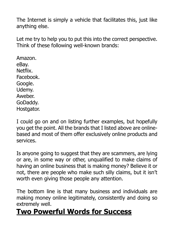The Internet is simply a vehicle that facilitates this, just like anything else.

Let me try to help you to put this into the correct perspective. Think of these following well-known brands:

Amazon. eBay. Netflix. Facebook. Google. Udemy. Aweber. GoDaddy. Hostgator.

I could go on and on listing further examples, but hopefully you get the point. All the brands that I listed above are onlinebased and most of them offer exclusively online products and services.

Is anyone going to suggest that they are scammers, are lying or are, in some way or other, unqualified to make claims of having an online business that is making money? Believe it or not, there are people who make such silly claims, but it isn't worth even giving those people any attention.

The bottom line is that many business and individuals are making money online legitimately, consistently and doing so extremely well.

## **Two Powerful Words for Success**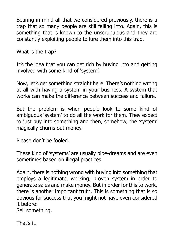Bearing in mind all that we considered previously, there is a trap that so many people are still falling into. Again, this is something that is known to the unscrupulous and they are constantly exploiting people to lure them into this trap.

What is the trap?

It's the idea that you can get rich by buying into and getting involved with some kind of 'system'.

Now, let's get something straight here. There's nothing wrong at all with having a system in your business. A system that works can make the difference between success and failure.

But the problem is when people look to some kind of ambiguous 'system' to do all the work for them. They expect to just buy into something and then, somehow, the 'system' magically churns out money.

Please don't be fooled.

These kind of 'systems' are usually pipe-dreams and are even sometimes based on illegal practices.

Again, there is nothing wrong with buying into something that employs a legitimate, working, proven system in order to generate sales and make money. But in order for this to work, there is another important truth. This is something that is so obvious for success that you might not have even considered it before:

Sell something.

That's it.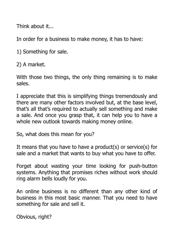Think about it...

In order for a business to make money, it has to have:

1) Something for sale.

2) A market.

With those two things, the only thing remaining is to make sales.

I appreciate that this is simplifying things tremendously and there are many other factors involved but, at the base level, that's all that's required to actually sell something and make a sale. And once you grasp that, it can help you to have a whole new outlook towards making money online.

So, what does this mean for you?

It means that you have to have a product(s) or service(s) for sale and a market that wants to buy what you have to offer.

Forget about wasting your time looking for push-button systems. Anything that promises riches without work should ring alarm bells loudly for you.

An online business is no different than any other kind of business in this most basic manner. That you need to have something for sale and sell it.

Obvious, right?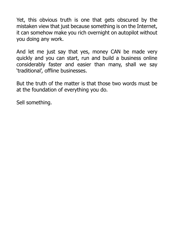Yet, this obvious truth is one that gets obscured by the mistaken view that just because something is on the Internet, it can somehow make you rich overnight on autopilot without you doing any work.

And let me just say that yes, money CAN be made very quickly and you can start, run and build a business online considerably faster and easier than many, shall we say 'traditional', offline businesses.

But the truth of the matter is that those two words must be at the foundation of everything you do.

Sell something.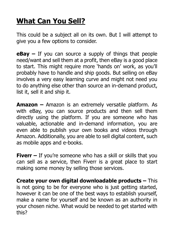## **What Can You Sell?**

This could be a subject all on its own. But I will attempt to give you a few options to consider.

**eBay –** If you can source a supply of things that people need/want and sell them at a profit, then eBay is a good place to start. This might require more 'hands on' work, as you'll probably have to handle and ship goods. But selling on eBay involves a very easy learning curve and might not need you to do anything else other than source an in-demand product, list it, sell it and ship it.

**Amazon –** Amazon is an extremely versatile platform. As with eBay, you can source products and then sell them directly using the platform. If you are someone who has valuable, actionable and in-demand information, you are even able to publish your own books and videos through Amazon. Additionally, you are able to sell digital content, such as mobile apps and e-books.

**Fiverr –** If you're someone who has a skill or skills that you can sell as a service, then Fiverr is a great place to start making some money by selling those services.

**Create your own digital downloadable products –** This is not going to be for everyone who is just getting started, however it can be one of the best ways to establish yourself, make a name for yourself and be known as an authority in your chosen niche. What would be needed to get started with this?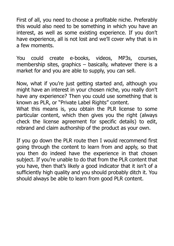First of all, you need to choose a profitable niche. Preferably this would also need to be something in which you have an interest, as well as some existing experience. If you don't have experience, all is not lost and we'll cover why that is in a few moments.

You could create e-books, videos, MP3s, courses, membership sites, graphics – basically, whatever there is a market for and you are able to supply, you can sell.

Now, what if you're just getting started and, although you might have an interest in your chosen niche, you really don't have any experience? Then you could use something that is known as PLR, or "Private Label Rights" content.

What this means is, you obtain the PLR license to some particular content, which then gives you the right (always check the license agreement for specific details) to edit, rebrand and claim authorship of the product as your own.

If you go down the PLR route then I would recommend first going through the content to learn from and apply, so that you then do indeed have the experience in that chosen subject. If you're unable to do that from the PLR content that you have, then that's likely a good indicator that it isn't of a sufficiently high quality and you should probably ditch it. You should always be able to learn from good PLR content.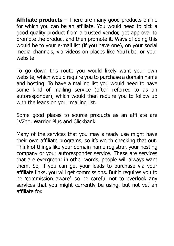**Affiliate products –** There are many good products online for which you can be an affiliate. You would need to pick a good quality product from a trusted vendor, get approval to promote the product and then promote it. Ways of doing this would be to your e-mail list (if you have one), on your social media channels, via videos on places like YouTube, or your website.

To go down this route you would likely want your own website, which would require you to purchase a domain name and hosting. To have a mailing list you would need to have some kind of mailing service (often referred to as an autoresponder), which would then require you to follow up with the leads on your mailing list.

Some good places to source products as an affiliate are JVZoo, Warrior Plus and Clickbank.

Many of the services that you may already use might have their own affiliate programs, so it's worth checking that out. Think of things like your domain name registrar, your hosting company or your autoresponder service. These are services that are evergreen; in other words, people will always want them. So, if you can get your leads to purchase via your affiliate links, you will get commissions. But it requires you to be 'commission aware', so be careful not to overlook any services that you might currently be using, but not yet an affiliate for.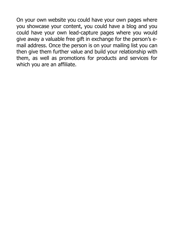On your own website you could have your own pages where you showcase your content, you could have a blog and you could have your own lead-capture pages where you would give away a valuable free gift in exchange for the person's email address. Once the person is on your mailing list you can then give them further value and build your relationship with them, as well as promotions for products and services for which you are an affiliate.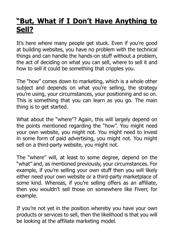## **"But, What if I Don't Have Anything to Sell?**

It's here where many people get stuck. Even if you're good at building websites, you have no problem with the technical things and can handle the hands-on stuff without a problem, the act of deciding on what you can sell, where to sell it and how to sell it could be something that cripples you.

The "how" comes down to marketing, which is a whole other subject and depends on what you're selling, the strategy you're using, your circumstances, your positioning and so on. This is something that you can learn as you go. The main thing is to get started.

What about the "where"? Again, this will largely depend on the points mentioned regarding the "how". You might need your own website, you might not. You might need to invest in some form of paid advertising, you might not. You might sell on a third-party website, you might not.

The "where" will, at least to some degree, depend on the "what" and, as mentioned previously, your circumstances. For example, if you're selling your own stuff then you will likely either need your own website or a third-party marketplace of some kind. Whereas, if you're selling offers as an affiliate, then you wouldn't sell those on somewhere like Fiverr, for example.

If you're not yet in the position whereby you have your own products or services to sell, then the likelihood is that you will be looking at the affiliate marketing model.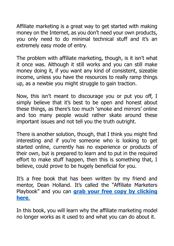Affiliate marketing is a great way to get started with making money on the Internet, as you don't need your own products, you only need to do minimal technical stuff and it's an extremely easy mode of entry.

The problem with affiliate marketing, though, is it isn't what it once was. Although it still works and you can still make money doing it, if you want any kind of consistent, sizeable income, unless you have the resources to really ramp things up, as a newbie you might struggle to gain traction.

Now, this isn't meant to discourage you or put you off, I simply believe that it's best to be open and honest about these things, as there's too much 'smoke and mirrors' online and too many people would rather skate around these important issues and not tell you the truth outright.

There is another solution, though, that I think you might find interesting and if you're someone who is looking to get started online, currently has no experience or products of their own, but is prepared to learn and to put in the required effort to make stuff happen, then this is something that, I believe, could prove to be hugely beneficial for you.

It's a free book that has been written by my friend and mentor, Dean Holland. It's called the "Affiliate Marketers Playbook" and you can **[grab your free copy](https://rn132.isrefer.com/go/ampoffer/a7610/AmpEmails) by clicking [here](https://rn132.isrefer.com/go/ampoffer/a7610/AmpEmails)**.

In this book, you will learn why the affiliate marketing model no longer works as it used to and what you can do about it.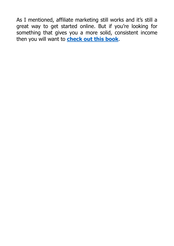As I mentioned, affiliate marketing still works and it's still a great way to get started online. But if you're looking for something that gives you a more solid, consistent income then you will want to **[check out this book](https://rn132.isrefer.com/go/ampoffer/a7610/AmpEmails)**.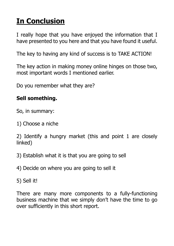# **In Conclusion**

I really hope that you have enjoyed the information that I have presented to you here and that you have found it useful.

The key to having any kind of success is to TAKE ACTION!

The key action in making money online hinges on those two, most important words I mentioned earlier.

Do you remember what they are?

#### **Sell something.**

So, in summary:

1) Choose a niche

2) Identify a hungry market (this and point 1 are closely linked)

3) Establish what it is that you are going to sell

4) Decide on where you are going to sell it

5) Sell it!

There are many more components to a fully-functioning business machine that we simply don't have the time to go over sufficiently in this short report.